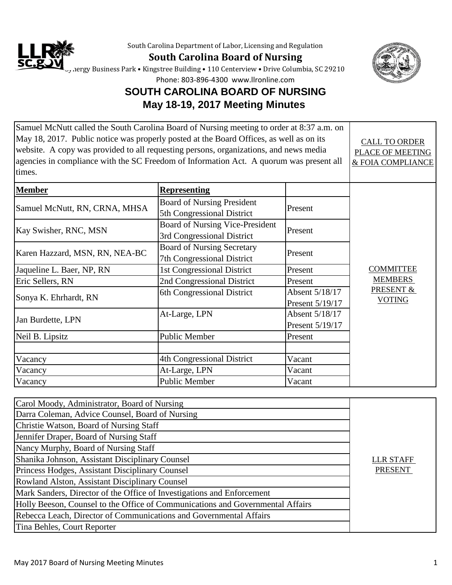

South Carolina Department of Labor, Licensing and Regulation

**South Carolina Board of Nursing**



Synergy Business Park • Kingstree Building • 110 Centerview • Drive Columbia, SC 29210

Phone: 803-896-4300 www.llronline.com

## **SOUTH CAROLINA BOARD OF NURSING May 18-19, 2017 Meeting Minutes**

| Samuel McNutt called the South Carolina Board of Nursing meeting to order at 8:37 a.m. on |                                        |                         |                                    |
|-------------------------------------------------------------------------------------------|----------------------------------------|-------------------------|------------------------------------|
| May 18, 2017. Public notice was properly posted at the Board Offices, as well as on its   |                                        | <b>CALL TO ORDER</b>    |                                    |
| website. A copy was provided to all requesting persons, organizations, and news media     |                                        | <b>PLACE OF MEETING</b> |                                    |
| agencies in compliance with the SC Freedom of Information Act. A quorum was present all   |                                        |                         | & FOIA COMPLIANCE                  |
| times.                                                                                    |                                        |                         |                                    |
| <b>Member</b>                                                                             | <b>Representing</b>                    |                         |                                    |
|                                                                                           | <b>Board of Nursing President</b>      |                         |                                    |
| Samuel McNutt, RN, CRNA, MHSA                                                             | 5th Congressional District             | Present                 |                                    |
|                                                                                           | <b>Board of Nursing Vice-President</b> |                         |                                    |
| Kay Swisher, RNC, MSN                                                                     | 3rd Congressional District             | Present                 |                                    |
|                                                                                           | <b>Board of Nursing Secretary</b>      |                         |                                    |
| Karen Hazzard, MSN, RN, NEA-BC                                                            | 7th Congressional District             | Present                 |                                    |
| Jaqueline L. Baer, NP, RN                                                                 | 1st Congressional District             | Present                 | <b>COMMITTEE</b><br><b>MEMBERS</b> |
| Eric Sellers, RN                                                                          | 2nd Congressional District             | Present                 |                                    |
| Sonya K. Ehrhardt, RN                                                                     | 6th Congressional District             | Absent 5/18/17          | <b>PRESENT &amp;</b>               |
|                                                                                           |                                        | Present 5/19/17         | <b>VOTING</b>                      |
| Jan Burdette, LPN                                                                         | At-Large, LPN                          | Absent 5/18/17          |                                    |
|                                                                                           |                                        | Present 5/19/17         |                                    |
| Neil B. Lipsitz                                                                           | <b>Public Member</b>                   | Present                 |                                    |
|                                                                                           |                                        |                         |                                    |
| Vacancy                                                                                   | 4th Congressional District             | Vacant                  |                                    |
| Vacancy                                                                                   | At-Large, LPN                          | Vacant                  |                                    |
| Vacancy                                                                                   | <b>Public Member</b>                   | Vacant                  |                                    |

| Carol Moody, Administrator, Board of Nursing                                   |                  |
|--------------------------------------------------------------------------------|------------------|
| Darra Coleman, Advice Counsel, Board of Nursing                                |                  |
| Christie Watson, Board of Nursing Staff                                        |                  |
| Jennifer Draper, Board of Nursing Staff                                        |                  |
| Nancy Murphy, Board of Nursing Staff                                           |                  |
| Shanika Johnson, Assistant Disciplinary Counsel                                | <b>LLR STAFF</b> |
| Princess Hodges, Assistant Disciplinary Counsel                                | <b>PRESENT</b>   |
| Rowland Alston, Assistant Disciplinary Counsel                                 |                  |
| Mark Sanders, Director of the Office of Investigations and Enforcement         |                  |
| Holly Beeson, Counsel to the Office of Communications and Governmental Affairs |                  |
| Rebecca Leach, Director of Communications and Governmental Affairs             |                  |
| Tina Behles, Court Reporter                                                    |                  |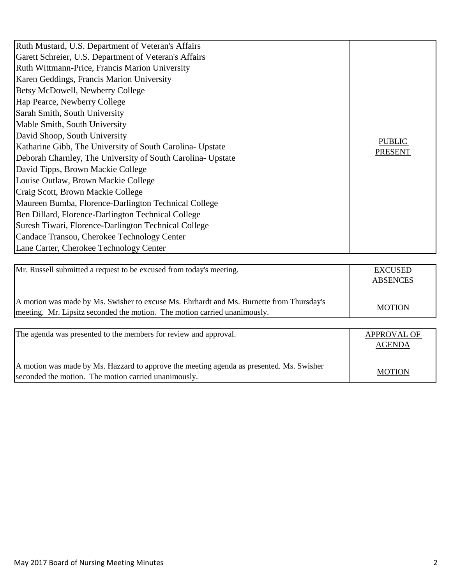| Ruth Mustard, U.S. Department of Veteran's Affairs<br>Garett Schreier, U.S. Department of Veteran's Affairs<br>Ruth Wittmann-Price, Francis Marion University |                |
|---------------------------------------------------------------------------------------------------------------------------------------------------------------|----------------|
| Karen Geddings, Francis Marion University                                                                                                                     |                |
| Betsy McDowell, Newberry College<br>Hap Pearce, Newberry College                                                                                              |                |
| Sarah Smith, South University<br>Mable Smith, South University                                                                                                |                |
| David Shoop, South University                                                                                                                                 | <b>PUBLIC</b>  |
| Katharine Gibb, The University of South Carolina- Upstate<br>Deborah Charnley, The University of South Carolina-Upstate                                       | <b>PRESENT</b> |
| David Tipps, Brown Mackie College<br>Louise Outlaw, Brown Mackie College                                                                                      |                |
| Craig Scott, Brown Mackie College                                                                                                                             |                |
| Maureen Bumba, Florence-Darlington Technical College<br>Ben Dillard, Florence-Darlington Technical College                                                    |                |
| Suresh Tiwari, Florence-Darlington Technical College                                                                                                          |                |
| Candace Transou, Cherokee Technology Center<br>Lane Carter, Cherokee Technology Center                                                                        |                |

| A motion was made by Ms. Swisher to excuse Ms. Ehrhardt and Ms. Burnette from Thursday's | EXCUSED<br><b>ABSENCES</b> |
|------------------------------------------------------------------------------------------|----------------------------|
| meeting. Mr. Lipsitz seconded the motion. The motion carried unanimously.                | <b>MOTION</b>              |

| The agenda was presented to the members for review and approval.                         | <b>APPROVAL OF</b> |
|------------------------------------------------------------------------------------------|--------------------|
|                                                                                          | <b>AGENDA</b>      |
|                                                                                          |                    |
| A motion was made by Ms. Hazzard to approve the meeting agenda as presented. Ms. Swisher |                    |
| seconded the motion. The motion carried unanimously.                                     | <b>MOTION</b>      |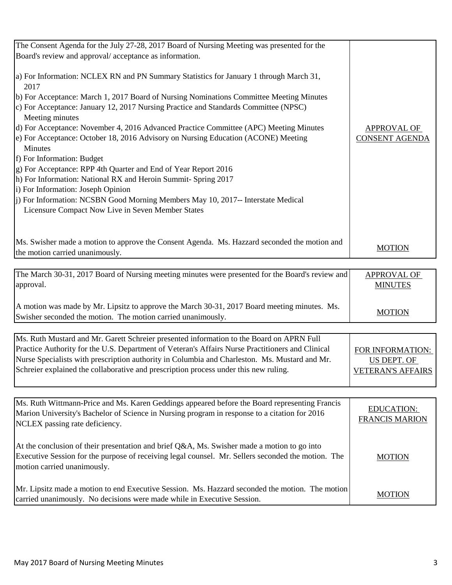| The Consent Agenda for the July 27-28, 2017 Board of Nursing Meeting was presented for the     |                    |
|------------------------------------------------------------------------------------------------|--------------------|
| Board's review and approval/acceptance as information.                                         |                    |
|                                                                                                |                    |
| a) For Information: NCLEX RN and PN Summary Statistics for January 1 through March 31,<br>2017 |                    |
| (b) For Acceptance: March 1, 2017 Board of Nursing Nominations Committee Meeting Minutes       |                    |
| c) For Acceptance: January 12, 2017 Nursing Practice and Standards Committee (NPSC)            |                    |
| Meeting minutes                                                                                |                    |
| d) For Acceptance: November 4, 2016 Advanced Practice Committee (APC) Meeting Minutes          | <b>APPROVAL OF</b> |
| e) For Acceptance: October 18, 2016 Advisory on Nursing Education (ACONE) Meeting              | CONSENT AGENDA     |
| <b>Minutes</b>                                                                                 |                    |
| f) For Information: Budget                                                                     |                    |
| g) For Acceptance: RPP 4th Quarter and End of Year Report 2016                                 |                    |
| h) For Information: National RX and Heroin Summit-Spring 2017                                  |                    |
| i) For Information: Joseph Opinion                                                             |                    |
| [j) For Information: NCSBN Good Morning Members May 10, 2017-- Interstate Medical              |                    |
| Licensure Compact Now Live in Seven Member States                                              |                    |
|                                                                                                |                    |
|                                                                                                |                    |
| Ms. Swisher made a motion to approve the Consent Agenda. Ms. Hazzard seconded the motion and   |                    |
| the motion carried unanimously.                                                                | <b>MOTION</b>      |

| The March 30-31, 2017 Board of Nursing meeting minutes were presented for the Board's review and                                                             | <b>APPROVAL OF</b> |
|--------------------------------------------------------------------------------------------------------------------------------------------------------------|--------------------|
| approval.                                                                                                                                                    | <b>MINUTES</b>     |
| A motion was made by Mr. Lipsitz to approve the March 30-31, 2017 Board meeting minutes. Ms.<br>Swisher seconded the motion. The motion carried unanimously. | <b>MOTION</b>      |

| Ms. Ruth Mustard and Mr. Garett Schreier presented information to the Board on APRN Full         |                          |
|--------------------------------------------------------------------------------------------------|--------------------------|
| Practice Authority for the U.S. Department of Veteran's Affairs Nurse Practitioners and Clinical | FOR INFORMATION:         |
| Nurse Specialists with prescription authority in Columbia and Charleston. Ms. Mustard and Mr.    | US DEPT. OF              |
| Schreier explained the collaborative and prescription process under this new ruling.             | <b>VETERAN'S AFFAIRS</b> |
|                                                                                                  |                          |

| Ms. Ruth Wittmann-Price and Ms. Karen Geddings appeared before the Board representing Francis<br>Marion University's Bachelor of Science in Nursing program in response to a citation for 2016<br>NCLEX passing rate deficiency. | <b>EDUCATION:</b><br><b>FRANCIS MARION</b> |
|----------------------------------------------------------------------------------------------------------------------------------------------------------------------------------------------------------------------------------|--------------------------------------------|
| At the conclusion of their presentation and brief Q&A, Ms. Swisher made a motion to go into<br>Executive Session for the purpose of receiving legal counsel. Mr. Sellers seconded the motion. The<br>motion carried unanimously. | <b>MOTION</b>                              |
| Mr. Lipsitz made a motion to end Executive Session. Ms. Hazzard seconded the motion. The motion<br>carried unanimously. No decisions were made while in Executive Session.                                                       | <b>MOTION</b>                              |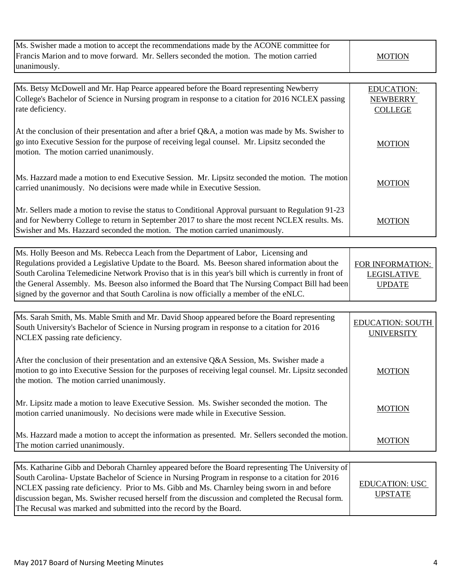| Ms. Swisher made a motion to accept the recommendations made by the ACONE committee for<br>Francis Marion and to move forward. Mr. Sellers seconded the motion. The motion carried<br>unanimously.                                                                                                                                                                                                                                                                                           | <b>MOTION</b>                                           |
|----------------------------------------------------------------------------------------------------------------------------------------------------------------------------------------------------------------------------------------------------------------------------------------------------------------------------------------------------------------------------------------------------------------------------------------------------------------------------------------------|---------------------------------------------------------|
| Ms. Betsy McDowell and Mr. Hap Pearce appeared before the Board representing Newberry<br>College's Bachelor of Science in Nursing program in response to a citation for 2016 NCLEX passing<br>rate deficiency.                                                                                                                                                                                                                                                                               | <b>EDUCATION:</b><br><b>NEWBERRY</b><br><b>COLLEGE</b>  |
| At the conclusion of their presentation and after a brief Q&A, a motion was made by Ms. Swisher to<br>go into Executive Session for the purpose of receiving legal counsel. Mr. Lipsitz seconded the<br>motion. The motion carried unanimously.                                                                                                                                                                                                                                              | <b>MOTION</b>                                           |
| Ms. Hazzard made a motion to end Executive Session. Mr. Lipsitz seconded the motion. The motion<br>carried unanimously. No decisions were made while in Executive Session.                                                                                                                                                                                                                                                                                                                   | <b>MOTION</b>                                           |
| Mr. Sellers made a motion to revise the status to Conditional Approval pursuant to Regulation 91-23<br>and for Newberry College to return in September 2017 to share the most recent NCLEX results. Ms.<br>Swisher and Ms. Hazzard seconded the motion. The motion carried unanimously.                                                                                                                                                                                                      | <b>MOTION</b>                                           |
|                                                                                                                                                                                                                                                                                                                                                                                                                                                                                              |                                                         |
| Ms. Holly Beeson and Ms. Rebecca Leach from the Department of Labor, Licensing and<br>Regulations provided a Legislative Update to the Board. Ms. Beeson shared information about the<br>South Carolina Telemedicine Network Proviso that is in this year's bill which is currently in front of<br>the General Assembly. Ms. Beeson also informed the Board that The Nursing Compact Bill had been<br>signed by the governor and that South Carolina is now officially a member of the eNLC. | FOR INFORMATION:<br><b>LEGISLATIVE</b><br><b>UPDATE</b> |
|                                                                                                                                                                                                                                                                                                                                                                                                                                                                                              |                                                         |
| Ms. Sarah Smith, Ms. Mable Smith and Mr. David Shoop appeared before the Board representing<br>South University's Bachelor of Science in Nursing program in response to a citation for 2016<br>NCLEX passing rate deficiency.                                                                                                                                                                                                                                                                | <b>EDUCATION: SOUTH</b><br><b>UNIVERSITY</b>            |
| After the conclusion of their presentation and an extensive Q&A Session, Ms. Swisher made a<br>motion to go into Executive Session for the purposes of receiving legal counsel. Mr. Lipsitz seconded<br>the motion. The motion carried unanimously.                                                                                                                                                                                                                                          | <b>MOTION</b>                                           |
| Mr. Lipsitz made a motion to leave Executive Session. Ms. Swisher seconded the motion. The<br>motion carried unanimously. No decisions were made while in Executive Session.                                                                                                                                                                                                                                                                                                                 | <b>MOTION</b>                                           |
| Ms. Hazzard made a motion to accept the information as presented. Mr. Sellers seconded the motion.<br>The motion carried unanimously.                                                                                                                                                                                                                                                                                                                                                        | <b>MOTION</b>                                           |
| Ms. Katharine Gibb and Deborah Charnley appeared before the Board representing The University of                                                                                                                                                                                                                                                                                                                                                                                             |                                                         |
| South Carolina- Upstate Bachelor of Science in Nursing Program in response to a citation for 2016<br>NCLEX passing rate deficiency. Prior to Ms. Gibb and Ms. Charnley being sworn in and before<br>discussion began, Ms. Swisher recused herself from the discussion and completed the Recusal form.<br>The Recusal was marked and submitted into the record by the Board.                                                                                                                  | <b>EDUCATION: USC</b><br><b>UPSTATE</b>                 |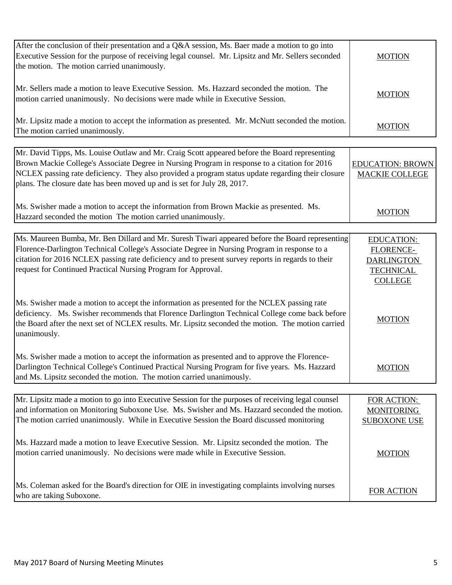| After the conclusion of their presentation and a Q&A session, Ms. Baer made a motion to go into<br>Executive Session for the purpose of receiving legal counsel. Mr. Lipsitz and Mr. Sellers seconded<br>the motion. The motion carried unanimously.                                                                                                                           | <b>MOTION</b>                                                                             |
|--------------------------------------------------------------------------------------------------------------------------------------------------------------------------------------------------------------------------------------------------------------------------------------------------------------------------------------------------------------------------------|-------------------------------------------------------------------------------------------|
| Mr. Sellers made a motion to leave Executive Session. Ms. Hazzard seconded the motion. The<br>motion carried unanimously. No decisions were made while in Executive Session.                                                                                                                                                                                                   | <b>MOTION</b>                                                                             |
| Mr. Lipsitz made a motion to accept the information as presented. Mr. McNutt seconded the motion.<br>The motion carried unanimously.                                                                                                                                                                                                                                           | <b>MOTION</b>                                                                             |
| Mr. David Tipps, Ms. Louise Outlaw and Mr. Craig Scott appeared before the Board representing<br>Brown Mackie College's Associate Degree in Nursing Program in response to a citation for 2016<br>NCLEX passing rate deficiency. They also provided a program status update regarding their closure<br>plans. The closure date has been moved up and is set for July 28, 2017. | <b>EDUCATION: BROWN</b><br><b>MACKIE COLLEGE</b>                                          |
| Ms. Swisher made a motion to accept the information from Brown Mackie as presented. Ms.<br>Hazzard seconded the motion The motion carried unanimously.                                                                                                                                                                                                                         | <b>MOTION</b>                                                                             |
| Ms. Maureen Bumba, Mr. Ben Dillard and Mr. Suresh Tiwari appeared before the Board representing<br>Florence-Darlington Technical College's Associate Degree in Nursing Program in response to a<br>citation for 2016 NCLEX passing rate deficiency and to present survey reports in regards to their<br>request for Continued Practical Nursing Program for Approval.          | <b>EDUCATION:</b><br>FLORENCE-<br><b>DARLINGTON</b><br><b>TECHNICAL</b><br><b>COLLEGE</b> |
| Ms. Swisher made a motion to accept the information as presented for the NCLEX passing rate<br>deficiency. Ms. Swisher recommends that Florence Darlington Technical College come back before<br>the Board after the next set of NCLEX results. Mr. Lipsitz seconded the motion. The motion carried<br>unanimously.                                                            | <b>MOTION</b>                                                                             |
| Ms. Swisher made a motion to accept the information as presented and to approve the Florence-<br>Darlington Technical College's Continued Practical Nursing Program for five years. Ms. Hazzard<br>and Ms. Lipsitz seconded the motion. The motion carried unanimously.                                                                                                        | <b>MOTION</b>                                                                             |
| Mr. Lipsitz made a motion to go into Executive Session for the purposes of receiving legal counsel<br>and information on Monitoring Suboxone Use. Ms. Swisher and Ms. Hazzard seconded the motion.<br>The motion carried unanimously. While in Executive Session the Board discussed monitoring                                                                                | FOR ACTION:<br><b>MONITORING</b><br><b>SUBOXONE USE</b>                                   |
| Ms. Hazzard made a motion to leave Executive Session. Mr. Lipsitz seconded the motion. The<br>motion carried unanimously. No decisions were made while in Executive Session.                                                                                                                                                                                                   | <b>MOTION</b>                                                                             |
| Ms. Coleman asked for the Board's direction for OIE in investigating complaints involving nurses<br>who are taking Suboxone.                                                                                                                                                                                                                                                   | <b>FOR ACTION</b>                                                                         |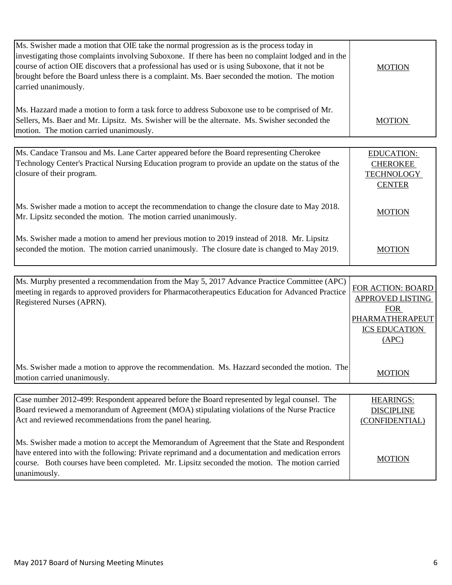| Ms. Swisher made a motion that OIE take the normal progression as is the process today in<br>investigating those complaints involving Suboxone. If there has been no complaint lodged and in the<br>course of action OIE discovers that a professional has used or is using Suboxone, that it not be<br>brought before the Board unless there is a complaint. Ms. Baer seconded the motion. The motion<br>carried unanimously. | <b>MOTION</b> |
|--------------------------------------------------------------------------------------------------------------------------------------------------------------------------------------------------------------------------------------------------------------------------------------------------------------------------------------------------------------------------------------------------------------------------------|---------------|
| Ms. Hazzard made a motion to form a task force to address Suboxone use to be comprised of Mr.<br>Sellers, Ms. Baer and Mr. Lipsitz. Ms. Swisher will be the alternate. Ms. Swisher seconded the<br>motion. The motion carried unanimously.                                                                                                                                                                                     | <b>MOTION</b> |

| Ms. Candace Transou and Ms. Lane Carter appeared before the Board representing Cherokee<br>Technology Center's Practical Nursing Education program to provide an update on the status of the | <b>EDUCATION:</b><br><b>CHEROKEE</b> |
|----------------------------------------------------------------------------------------------------------------------------------------------------------------------------------------------|--------------------------------------|
| closure of their program.                                                                                                                                                                    | <b>TECHNOLOGY</b><br><b>CENTER</b>   |
| Ms. Swisher made a motion to accept the recommendation to change the closure date to May 2018.<br>Mr. Lipsitz seconded the motion. The motion carried unanimously.                           | <b>MOTION</b>                        |
| Ms. Swisher made a motion to amend her previous motion to 2019 instead of 2018. Mr. Lipsitz<br>seconded the motion. The motion carried unanimously. The closure date is changed to May 2019. | <b>MOTION</b>                        |

| Ms. Murphy presented a recommendation from the May 5, 2017 Advance Practice Committee (APC)<br>meeting in regards to approved providers for Pharmacotherapeutics Education for Advanced Practice<br>Registered Nurses (APRN).                                                                                       | FOR ACTION: BOARD<br>APPROVED LISTING<br><b>FOR</b><br>PHARMATHERAPEUT<br><b>ICS EDUCATION</b><br>(APC) |
|---------------------------------------------------------------------------------------------------------------------------------------------------------------------------------------------------------------------------------------------------------------------------------------------------------------------|---------------------------------------------------------------------------------------------------------|
| Ms. Swisher made a motion to approve the recommendation. Ms. Hazzard seconded the motion. The<br>motion carried unanimously.                                                                                                                                                                                        | <b>MOTION</b>                                                                                           |
|                                                                                                                                                                                                                                                                                                                     |                                                                                                         |
| Case number 2012-499: Respondent appeared before the Board represented by legal counsel. The<br>Board reviewed a memorandum of Agreement (MOA) stipulating violations of the Nurse Practice<br>Act and reviewed recommendations from the panel hearing.                                                             | <b>HEARINGS:</b><br><b>DISCIPLINE</b><br>(CONFIDENTIAL)                                                 |
| Ms. Swisher made a motion to accept the Memorandum of Agreement that the State and Respondent<br>have entered into with the following: Private reprimand and a documentation and medication errors<br>course. Both courses have been completed. Mr. Lipsitz seconded the motion. The motion carried<br>unanimously. | MOTION                                                                                                  |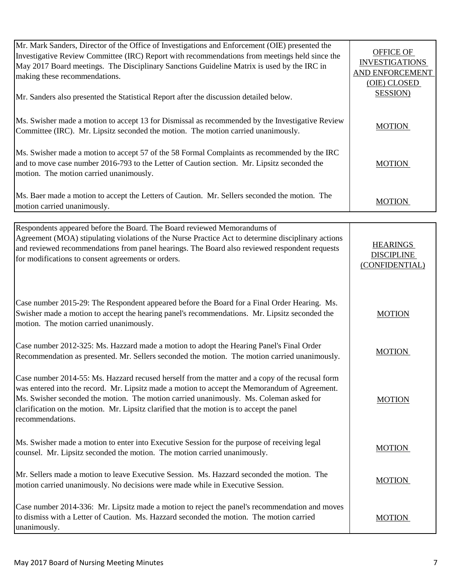| Mr. Mark Sanders, Director of the Office of Investigations and Enforcement (OIE) presented the<br>Investigative Review Committee (IRC) Report with recommendations from meetings held since the<br>May 2017 Board meetings. The Disciplinary Sanctions Guideline Matrix is used by the IRC in<br>making these recommendations.<br>Mr. Sanders also presented the Statistical Report after the discussion detailed below. | <b>OFFICE OF</b><br><b>INVESTIGATIONS</b><br>AND ENFORCEMENT<br>(OIE) CLOSED<br><b>SESSION</b> ) |
|--------------------------------------------------------------------------------------------------------------------------------------------------------------------------------------------------------------------------------------------------------------------------------------------------------------------------------------------------------------------------------------------------------------------------|--------------------------------------------------------------------------------------------------|
| Ms. Swisher made a motion to accept 13 for Dismissal as recommended by the Investigative Review<br>Committee (IRC). Mr. Lipsitz seconded the motion. The motion carried unanimously.                                                                                                                                                                                                                                     | <b>MOTION</b>                                                                                    |
| Ms. Swisher made a motion to accept 57 of the 58 Formal Complaints as recommended by the IRC<br>and to move case number 2016-793 to the Letter of Caution section. Mr. Lipsitz seconded the<br>motion. The motion carried unanimously.                                                                                                                                                                                   | <b>MOTION</b>                                                                                    |
| Ms. Baer made a motion to accept the Letters of Caution. Mr. Sellers seconded the motion. The<br>motion carried unanimously.                                                                                                                                                                                                                                                                                             | <b>MOTION</b>                                                                                    |

| Respondents appeared before the Board. The Board reviewed Memorandums of<br>Agreement (MOA) stipulating violations of the Nurse Practice Act to determine disciplinary actions<br>and reviewed recommendations from panel hearings. The Board also reviewed respondent requests<br>for modifications to consent agreements or orders.                                                                       | <b>HEARINGS</b><br><b>DISCIPLINE</b><br>(CONFIDENTIAL) |
|-------------------------------------------------------------------------------------------------------------------------------------------------------------------------------------------------------------------------------------------------------------------------------------------------------------------------------------------------------------------------------------------------------------|--------------------------------------------------------|
| Case number 2015-29: The Respondent appeared before the Board for a Final Order Hearing. Ms.<br>Swisher made a motion to accept the hearing panel's recommendations. Mr. Lipsitz seconded the<br>motion. The motion carried unanimously.                                                                                                                                                                    | <b>MOTION</b>                                          |
| Case number 2012-325: Ms. Hazzard made a motion to adopt the Hearing Panel's Final Order<br>Recommendation as presented. Mr. Sellers seconded the motion. The motion carried unanimously.                                                                                                                                                                                                                   | <b>MOTION</b>                                          |
| Case number 2014-55: Ms. Hazzard recused herself from the matter and a copy of the recusal form<br>was entered into the record. Mr. Lipsitz made a motion to accept the Memorandum of Agreement.<br>Ms. Swisher seconded the motion. The motion carried unanimously. Ms. Coleman asked for<br>clarification on the motion. Mr. Lipsitz clarified that the motion is to accept the panel<br>recommendations. | <b>MOTION</b>                                          |
| Ms. Swisher made a motion to enter into Executive Session for the purpose of receiving legal<br>counsel. Mr. Lipsitz seconded the motion. The motion carried unanimously.                                                                                                                                                                                                                                   | <b>MOTION</b>                                          |
| Mr. Sellers made a motion to leave Executive Session. Ms. Hazzard seconded the motion. The<br>motion carried unanimously. No decisions were made while in Executive Session.                                                                                                                                                                                                                                | <b>MOTION</b>                                          |
| Case number 2014-336: Mr. Lipsitz made a motion to reject the panel's recommendation and moves<br>to dismiss with a Letter of Caution. Ms. Hazzard seconded the motion. The motion carried<br>unanimously.                                                                                                                                                                                                  | <b>MOTION</b>                                          |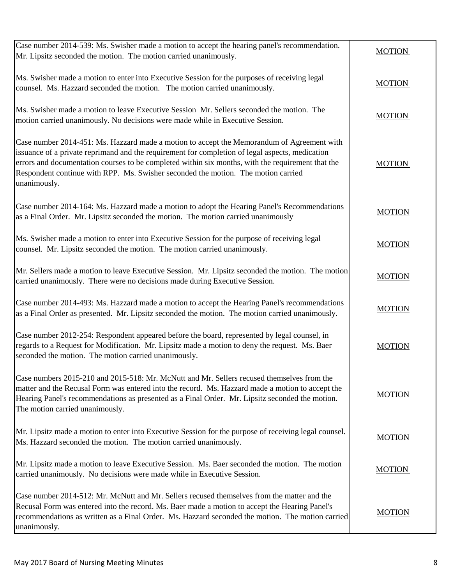| Case number 2014-539: Ms. Swisher made a motion to accept the hearing panel's recommendation.<br>Mr. Lipsitz seconded the motion. The motion carried unanimously.                                                                                                                                                                                                                                       | <b>MOTION</b> |
|---------------------------------------------------------------------------------------------------------------------------------------------------------------------------------------------------------------------------------------------------------------------------------------------------------------------------------------------------------------------------------------------------------|---------------|
| Ms. Swisher made a motion to enter into Executive Session for the purposes of receiving legal<br>counsel. Ms. Hazzard seconded the motion. The motion carried unanimously.                                                                                                                                                                                                                              | <b>MOTION</b> |
| Ms. Swisher made a motion to leave Executive Session Mr. Sellers seconded the motion. The<br>motion carried unanimously. No decisions were made while in Executive Session.                                                                                                                                                                                                                             | <b>MOTION</b> |
| Case number 2014-451: Ms. Hazzard made a motion to accept the Memorandum of Agreement with<br>issuance of a private reprimand and the requirement for completion of legal aspects, medication<br>errors and documentation courses to be completed within six months, with the requirement that the<br>Respondent continue with RPP. Ms. Swisher seconded the motion. The motion carried<br>unanimously. | <b>MOTION</b> |
| Case number 2014-164: Ms. Hazzard made a motion to adopt the Hearing Panel's Recommendations<br>as a Final Order. Mr. Lipsitz seconded the motion. The motion carried unanimously                                                                                                                                                                                                                       | <b>MOTION</b> |
| Ms. Swisher made a motion to enter into Executive Session for the purpose of receiving legal<br>counsel. Mr. Lipsitz seconded the motion. The motion carried unanimously.                                                                                                                                                                                                                               | <b>MOTION</b> |
| Mr. Sellers made a motion to leave Executive Session. Mr. Lipsitz seconded the motion. The motion<br>carried unanimously. There were no decisions made during Executive Session.                                                                                                                                                                                                                        | <b>MOTION</b> |
| Case number 2014-493: Ms. Hazzard made a motion to accept the Hearing Panel's recommendations<br>as a Final Order as presented. Mr. Lipsitz seconded the motion. The motion carried unanimously.                                                                                                                                                                                                        | <b>MOTION</b> |
| Case number 2012-254: Respondent appeared before the board, represented by legal counsel, in<br>regards to a Request for Modification. Mr. Lipsitz made a motion to deny the request. Ms. Baer<br>seconded the motion. The motion carried unanimously.                                                                                                                                                  | <b>MOTION</b> |
| Case numbers 2015-210 and 2015-518: Mr. McNutt and Mr. Sellers recused themselves from the<br>matter and the Recusal Form was entered into the record. Ms. Hazzard made a motion to accept the<br>Hearing Panel's recommendations as presented as a Final Order. Mr. Lipsitz seconded the motion.<br>The motion carried unanimously.                                                                    | <b>MOTION</b> |
| Mr. Lipsitz made a motion to enter into Executive Session for the purpose of receiving legal counsel.<br>Ms. Hazzard seconded the motion. The motion carried unanimously.                                                                                                                                                                                                                               | <b>MOTION</b> |
| Mr. Lipsitz made a motion to leave Executive Session. Ms. Baer seconded the motion. The motion<br>carried unanimously. No decisions were made while in Executive Session.                                                                                                                                                                                                                               | <b>MOTION</b> |
| Case number 2014-512: Mr. McNutt and Mr. Sellers recused themselves from the matter and the<br>Recusal Form was entered into the record. Ms. Baer made a motion to accept the Hearing Panel's<br>recommendations as written as a Final Order. Ms. Hazzard seconded the motion. The motion carried<br>unanimously.                                                                                       | <b>MOTION</b> |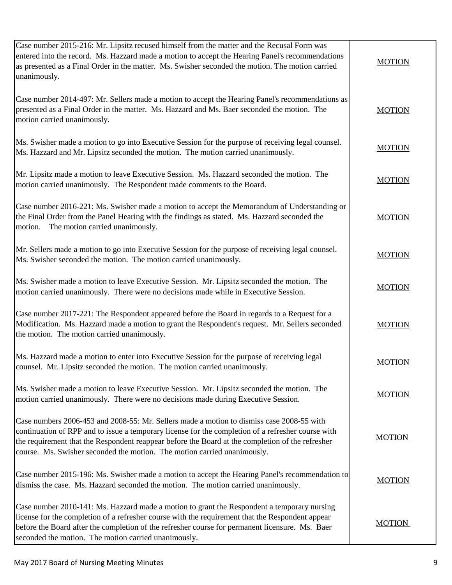| Case number 2015-216: Mr. Lipsitz recused himself from the matter and the Recusal Form was<br>entered into the record. Ms. Hazzard made a motion to accept the Hearing Panel's recommendations<br>as presented as a Final Order in the matter. Ms. Swisher seconded the motion. The motion carried<br>unanimously.                                                              | <b>MOTION</b> |
|---------------------------------------------------------------------------------------------------------------------------------------------------------------------------------------------------------------------------------------------------------------------------------------------------------------------------------------------------------------------------------|---------------|
| Case number 2014-497: Mr. Sellers made a motion to accept the Hearing Panel's recommendations as<br>presented as a Final Order in the matter. Ms. Hazzard and Ms. Baer seconded the motion. The<br>motion carried unanimously.                                                                                                                                                  | <b>MOTION</b> |
| Ms. Swisher made a motion to go into Executive Session for the purpose of receiving legal counsel.<br>Ms. Hazzard and Mr. Lipsitz seconded the motion. The motion carried unanimously.                                                                                                                                                                                          | <b>MOTION</b> |
| Mr. Lipsitz made a motion to leave Executive Session. Ms. Hazzard seconded the motion. The<br>motion carried unanimously. The Respondent made comments to the Board.                                                                                                                                                                                                            | <b>MOTION</b> |
| Case number 2016-221: Ms. Swisher made a motion to accept the Memorandum of Understanding or<br>the Final Order from the Panel Hearing with the findings as stated. Ms. Hazzard seconded the<br>motion. The motion carried unanimously.                                                                                                                                         | <b>MOTION</b> |
| Mr. Sellers made a motion to go into Executive Session for the purpose of receiving legal counsel.<br>Ms. Swisher seconded the motion. The motion carried unanimously.                                                                                                                                                                                                          | <b>MOTION</b> |
| Ms. Swisher made a motion to leave Executive Session. Mr. Lipsitz seconded the motion. The<br>motion carried unanimously. There were no decisions made while in Executive Session.                                                                                                                                                                                              | <b>MOTION</b> |
| Case number 2017-221: The Respondent appeared before the Board in regards to a Request for a<br>Modification. Ms. Hazzard made a motion to grant the Respondent's request. Mr. Sellers seconded<br>the motion. The motion carried unanimously.                                                                                                                                  | <b>MOTION</b> |
| Ms. Hazzard made a motion to enter into Executive Session for the purpose of receiving legal<br>counsel. Mr. Lipsitz seconded the motion. The motion carried unanimously.                                                                                                                                                                                                       | <b>MOTION</b> |
| Ms. Swisher made a motion to leave Executive Session. Mr. Lipsitz seconded the motion. The<br>motion carried unanimously. There were no decisions made during Executive Session.                                                                                                                                                                                                | <b>MOTION</b> |
| Case numbers 2006-453 and 2008-55: Mr. Sellers made a motion to dismiss case 2008-55 with<br>continuation of RPP and to issue a temporary license for the completion of a refresher course with<br>the requirement that the Respondent reappear before the Board at the completion of the refresher<br>course. Ms. Swisher seconded the motion. The motion carried unanimously. | <b>MOTION</b> |
| Case number 2015-196: Ms. Swisher made a motion to accept the Hearing Panel's recommendation to<br>dismiss the case. Ms. Hazzard seconded the motion. The motion carried unanimously.                                                                                                                                                                                           | <b>MOTION</b> |
| Case number 2010-141: Ms. Hazzard made a motion to grant the Respondent a temporary nursing<br>license for the completion of a refresher course with the requirement that the Respondent appear<br>before the Board after the completion of the refresher course for permanent licensure. Ms. Baer<br>seconded the motion. The motion carried unanimously.                      | <b>MOTION</b> |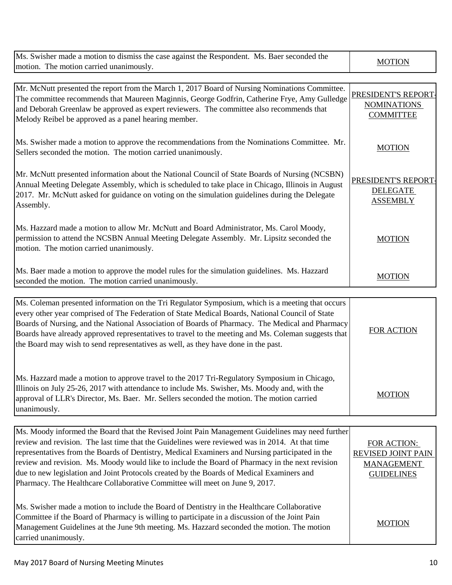| Ms. Swisher made a motion to dismiss the case against the Respondent. Ms. Baer seconded the                                                                                                                                                                                                                                                                                                                                                                                                                                                                                         | <b>MOTION</b>                                                                      |
|-------------------------------------------------------------------------------------------------------------------------------------------------------------------------------------------------------------------------------------------------------------------------------------------------------------------------------------------------------------------------------------------------------------------------------------------------------------------------------------------------------------------------------------------------------------------------------------|------------------------------------------------------------------------------------|
| motion. The motion carried unanimously.                                                                                                                                                                                                                                                                                                                                                                                                                                                                                                                                             |                                                                                    |
| Mr. McNutt presented the report from the March 1, 2017 Board of Nursing Nominations Committee.<br>The committee recommends that Maureen Maginnis, George Godfrin, Catherine Frye, Amy Gulledge<br>and Deborah Greenlaw be approved as expert reviewers. The committee also recommends that<br>Melody Reibel be approved as a panel hearing member.                                                                                                                                                                                                                                  | PRESIDENT'S REPORT<br><b>NOMINATIONS</b><br><b>COMMITTEE</b>                       |
| Ms. Swisher made a motion to approve the recommendations from the Nominations Committee. Mr.<br>Sellers seconded the motion. The motion carried unanimously.                                                                                                                                                                                                                                                                                                                                                                                                                        | <b>MOTION</b>                                                                      |
| Mr. McNutt presented information about the National Council of State Boards of Nursing (NCSBN)<br>Annual Meeting Delegate Assembly, which is scheduled to take place in Chicago, Illinois in August<br>2017. Mr. McNutt asked for guidance on voting on the simulation guidelines during the Delegate<br>Assembly.                                                                                                                                                                                                                                                                  | PRESIDENT'S REPORT-<br><b>DELEGATE</b><br><b>ASSEMBLY</b>                          |
| Ms. Hazzard made a motion to allow Mr. McNutt and Board Administrator, Ms. Carol Moody,<br>permission to attend the NCSBN Annual Meeting Delegate Assembly. Mr. Lipsitz seconded the<br>motion. The motion carried unanimously.                                                                                                                                                                                                                                                                                                                                                     | <b>MOTION</b>                                                                      |
| Ms. Baer made a motion to approve the model rules for the simulation guidelines. Ms. Hazzard<br>seconded the motion. The motion carried unanimously.                                                                                                                                                                                                                                                                                                                                                                                                                                | <b>MOTION</b>                                                                      |
| Ms. Coleman presented information on the Tri Regulator Symposium, which is a meeting that occurs<br>every other year comprised of The Federation of State Medical Boards, National Council of State<br>Boards of Nursing, and the National Association of Boards of Pharmacy. The Medical and Pharmacy<br>Boards have already approved representatives to travel to the meeting and Ms. Coleman suggests that<br>the Board may wish to send representatives as well, as they have done in the past.                                                                                 | <b>FOR ACTION</b>                                                                  |
| Ms. Hazzard made a motion to approve travel to the 2017 Tri-Regulatory Symposium in Chicago,<br>Illinois on July 25-26, 2017 with attendance to include Ms. Swisher, Ms. Moody and, with the<br>approval of LLR's Director, Ms. Baer. Mr. Sellers seconded the motion. The motion carried<br>unanimously.                                                                                                                                                                                                                                                                           | <b>MOTION</b>                                                                      |
|                                                                                                                                                                                                                                                                                                                                                                                                                                                                                                                                                                                     |                                                                                    |
| Ms. Moody informed the Board that the Revised Joint Pain Management Guidelines may need further<br>review and revision. The last time that the Guidelines were reviewed was in 2014. At that time<br>representatives from the Boards of Dentistry, Medical Examiners and Nursing participated in the<br>review and revision. Ms. Moody would like to include the Board of Pharmacy in the next revision<br>due to new legislation and Joint Protocols created by the Boards of Medical Examiners and<br>Pharmacy. The Healthcare Collaborative Committee will meet on June 9, 2017. | FOR ACTION:<br><b>REVISED JOINT PAIN</b><br><b>MANAGEMENT</b><br><b>GUIDELINES</b> |
| Ms. Swisher made a motion to include the Board of Dentistry in the Healthcare Collaborative<br>Committee if the Board of Pharmacy is willing to participate in a discussion of the Joint Pain<br>Management Guidelines at the June 9th meeting. Ms. Hazzard seconded the motion. The motion<br>carried unanimously.                                                                                                                                                                                                                                                                 | <b>MOTION</b>                                                                      |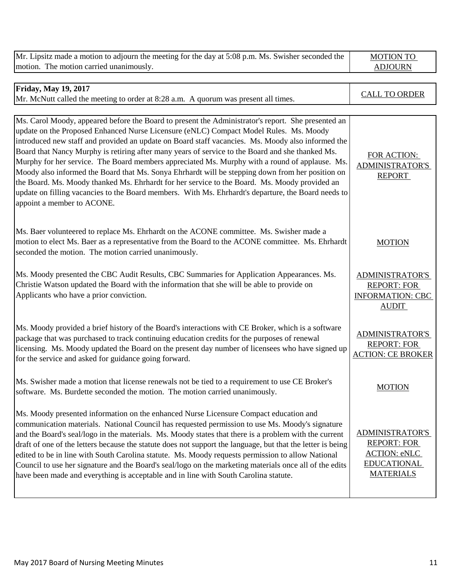| Mr. Lipsitz made a motion to adjourn the meeting for the day at 5:08 p.m. Ms. Swisher seconded the<br>motion. The motion carried unanimously.                                                                                                                                                                                                                                                                                                                                                                                                                                                                                                                                                                                                                                                                                                    | <b>MOTION TO</b><br><b>ADJOURN</b>                                                                            |
|--------------------------------------------------------------------------------------------------------------------------------------------------------------------------------------------------------------------------------------------------------------------------------------------------------------------------------------------------------------------------------------------------------------------------------------------------------------------------------------------------------------------------------------------------------------------------------------------------------------------------------------------------------------------------------------------------------------------------------------------------------------------------------------------------------------------------------------------------|---------------------------------------------------------------------------------------------------------------|
|                                                                                                                                                                                                                                                                                                                                                                                                                                                                                                                                                                                                                                                                                                                                                                                                                                                  |                                                                                                               |
| <b>Friday, May 19, 2017</b><br>Mr. McNutt called the meeting to order at 8:28 a.m. A quorum was present all times.                                                                                                                                                                                                                                                                                                                                                                                                                                                                                                                                                                                                                                                                                                                               | <b>CALL TO ORDER</b>                                                                                          |
|                                                                                                                                                                                                                                                                                                                                                                                                                                                                                                                                                                                                                                                                                                                                                                                                                                                  |                                                                                                               |
| Ms. Carol Moody, appeared before the Board to present the Administrator's report. She presented an<br>update on the Proposed Enhanced Nurse Licensure (eNLC) Compact Model Rules. Ms. Moody<br>introduced new staff and provided an update on Board staff vacancies. Ms. Moody also informed the<br>Board that Nancy Murphy is retiring after many years of service to the Board and she thanked Ms.<br>Murphy for her service. The Board members appreciated Ms. Murphy with a round of applause. Ms.<br>Moody also informed the Board that Ms. Sonya Ehrhardt will be stepping down from her position on<br>the Board. Ms. Moody thanked Ms. Ehrhardt for her service to the Board. Ms. Moody provided an<br>update on filling vacancies to the Board members. With Ms. Ehrhardt's departure, the Board needs to<br>appoint a member to ACONE. | FOR ACTION:<br><b>ADMINISTRATOR'S</b><br><b>REPORT</b>                                                        |
| Ms. Baer volunteered to replace Ms. Ehrhardt on the ACONE committee. Ms. Swisher made a<br>motion to elect Ms. Baer as a representative from the Board to the ACONE committee. Ms. Ehrhardt<br>seconded the motion. The motion carried unanimously.                                                                                                                                                                                                                                                                                                                                                                                                                                                                                                                                                                                              | <b>MOTION</b>                                                                                                 |
| Ms. Moody presented the CBC Audit Results, CBC Summaries for Application Appearances. Ms.<br>Christie Watson updated the Board with the information that she will be able to provide on<br>Applicants who have a prior conviction.                                                                                                                                                                                                                                                                                                                                                                                                                                                                                                                                                                                                               | <b>ADMINISTRATOR'S</b><br><b>REPORT: FOR</b><br><b>INFORMATION: CBC</b><br><b>AUDIT</b>                       |
| Ms. Moody provided a brief history of the Board's interactions with CE Broker, which is a software<br>package that was purchased to track continuing education credits for the purposes of renewal<br>licensing. Ms. Moody updated the Board on the present day number of licensees who have signed up<br>for the service and asked for guidance going forward.                                                                                                                                                                                                                                                                                                                                                                                                                                                                                  | <b>ADMINISTRATOR'S</b><br><b>REPORT: FOR</b><br><b>ACTION: CE BROKER</b>                                      |
| Ms. Swisher made a motion that license renewals not be tied to a requirement to use CE Broker's<br>software. Ms. Burdette seconded the motion. The motion carried unanimously.                                                                                                                                                                                                                                                                                                                                                                                                                                                                                                                                                                                                                                                                   | <b>MOTION</b>                                                                                                 |
| Ms. Moody presented information on the enhanced Nurse Licensure Compact education and<br>communication materials. National Council has requested permission to use Ms. Moody's signature<br>and the Board's seal/logo in the materials. Ms. Moody states that there is a problem with the current<br>draft of one of the letters because the statute does not support the language, but that the letter is being<br>edited to be in line with South Carolina statute. Ms. Moody requests permission to allow National<br>Council to use her signature and the Board's seal/logo on the marketing materials once all of the edits<br>have been made and everything is acceptable and in line with South Carolina statute.                                                                                                                         | <b>ADMINISTRATOR'S</b><br><b>REPORT: FOR</b><br><b>ACTION: eNLC</b><br><b>EDUCATIONAL</b><br><b>MATERIALS</b> |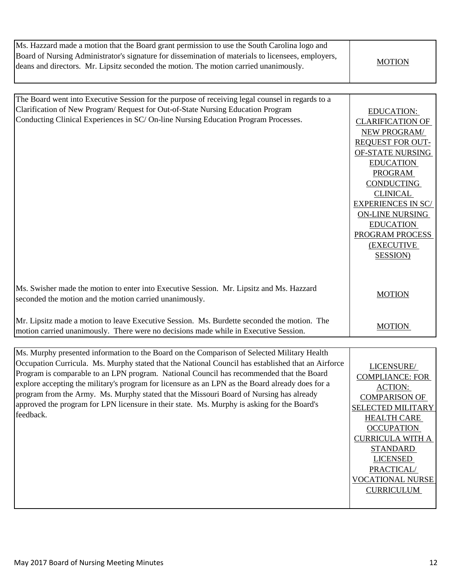| Ms. Hazzard made a motion that the Board grant permission to use the South Carolina logo and<br>Board of Nursing Administrator's signature for dissemination of materials to licensees, employers,<br>deans and directors. Mr. Lipsitz seconded the motion. The motion carried unanimously.                                                                                                                                                                                                               | <b>MOTION</b>                                                                                                                                                                                                                                                                                                                                |
|-----------------------------------------------------------------------------------------------------------------------------------------------------------------------------------------------------------------------------------------------------------------------------------------------------------------------------------------------------------------------------------------------------------------------------------------------------------------------------------------------------------|----------------------------------------------------------------------------------------------------------------------------------------------------------------------------------------------------------------------------------------------------------------------------------------------------------------------------------------------|
|                                                                                                                                                                                                                                                                                                                                                                                                                                                                                                           |                                                                                                                                                                                                                                                                                                                                              |
| The Board went into Executive Session for the purpose of receiving legal counsel in regards to a<br>Clarification of New Program/Request for Out-of-State Nursing Education Program<br>Conducting Clinical Experiences in SC/On-line Nursing Education Program Processes.                                                                                                                                                                                                                                 | <b>EDUCATION:</b><br><b>CLARIFICATION OF</b><br><b>NEW PROGRAM/</b><br><b>REQUEST FOR OUT-</b><br>OF-STATE NURSING<br><b>EDUCATION</b><br><b>PROGRAM</b><br><b>CONDUCTING</b><br><b>CLINICAL</b><br><b>EXPERIENCES IN SC/</b><br><b>ON-LINE NURSING</b><br><b>EDUCATION</b><br><b>PROGRAM PROCESS</b><br><b>(EXECUTIVE</b><br><b>SESSION</b> |
| Ms. Swisher made the motion to enter into Executive Session. Mr. Lipsitz and Ms. Hazzard<br>seconded the motion and the motion carried unanimously.                                                                                                                                                                                                                                                                                                                                                       | <b>MOTION</b>                                                                                                                                                                                                                                                                                                                                |
| Mr. Lipsitz made a motion to leave Executive Session. Ms. Burdette seconded the motion. The<br>motion carried unanimously. There were no decisions made while in Executive Session.                                                                                                                                                                                                                                                                                                                       | <b>MOTION</b>                                                                                                                                                                                                                                                                                                                                |
| Ms. Murphy presented information to the Board on the Comparison of Selected Military Health                                                                                                                                                                                                                                                                                                                                                                                                               |                                                                                                                                                                                                                                                                                                                                              |
| Occupation Curricula. Ms. Murphy stated that the National Council has established that an Airforce<br>Program is comparable to an LPN program. National Council has recommended that the Board<br>explore accepting the military's program for licensure as an LPN as the Board already does for a<br>program from the Army. Ms. Murphy stated that the Missouri Board of Nursing has already<br>approved the program for LPN licensure in their state. Ms. Murphy is asking for the Board's<br>feedback. | LICENSURE/<br><b>COMPLIANCE: FOR</b><br><b>ACTION:</b><br><b>COMPARISON OF</b><br><b>SELECTED MILITARY</b><br><b>HEALTH CARE</b><br><b>OCCUPATION</b><br><b>CURRICULA WITH A</b><br><b>STANDARD</b><br><b>LICENSED</b><br>PRACTICAL/<br><b>VOCATIONAL NURSE</b><br><b>CURRICULUM</b>                                                         |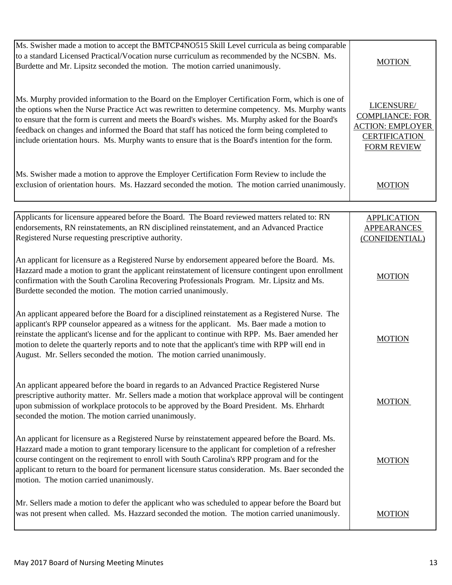| Ms. Swisher made a motion to accept the BMTCP4NO515 Skill Level curricula as being comparable<br>to a standard Licensed Practical/Vocation nurse curriculum as recommended by the NCSBN. Ms.<br>Burdette and Mr. Lipsitz seconded the motion. The motion carried unanimously.                                                                                                                                                                                                                                  | <b>MOTION</b>                                                                                                 |
|----------------------------------------------------------------------------------------------------------------------------------------------------------------------------------------------------------------------------------------------------------------------------------------------------------------------------------------------------------------------------------------------------------------------------------------------------------------------------------------------------------------|---------------------------------------------------------------------------------------------------------------|
| Ms. Murphy provided information to the Board on the Employer Certification Form, which is one of<br>the options when the Nurse Practice Act was rewritten to determine competency. Ms. Murphy wants<br>to ensure that the form is current and meets the Board's wishes. Ms. Murphy asked for the Board's<br>feedback on changes and informed the Board that staff has noticed the form being completed to<br>include orientation hours. Ms. Murphy wants to ensure that is the Board's intention for the form. | LICENSURE/<br><b>COMPLIANCE: FOR</b><br><b>ACTION: EMPLOYER</b><br><b>CERTIFICATION</b><br><b>FORM REVIEW</b> |
| Ms. Swisher made a motion to approve the Employer Certification Form Review to include the<br>exclusion of orientation hours. Ms. Hazzard seconded the motion. The motion carried unanimously.                                                                                                                                                                                                                                                                                                                 | <b>MOTION</b>                                                                                                 |
| Applicants for licensure appeared before the Board. The Board reviewed matters related to: RN<br>endorsements, RN reinstatements, an RN disciplined reinstatement, and an Advanced Practice<br>Registered Nurse requesting prescriptive authority.                                                                                                                                                                                                                                                             | <b>APPLICATION</b><br><b>APPEARANCES</b><br>(CONFIDENTIAL)                                                    |
| An applicant for licensure as a Registered Nurse by endorsement appeared before the Board. Ms.<br>Hazzard made a motion to grant the applicant reinstatement of licensure contingent upon enrollment<br>confirmation with the South Carolina Recovering Professionals Program. Mr. Lipsitz and Ms.<br>Burdette seconded the motion. The motion carried unanimously.                                                                                                                                            | <b>MOTION</b>                                                                                                 |
| An applicant appeared before the Board for a disciplined reinstatement as a Registered Nurse. The<br>applicant's RPP counselor appeared as a witness for the applicant. Ms. Baer made a motion to<br>reinstate the applicant's license and for the applicant to continue with RPP. Ms. Baer amended her<br>motion to delete the quarterly reports and to note that the applicant's time with RPP will end in<br>August. Mr. Sellers seconded the motion. The motion carried unanimously.                       | <b>MOTION</b>                                                                                                 |
| An applicant appeared before the board in regards to an Advanced Practice Registered Nurse<br>prescriptive authority matter. Mr. Sellers made a motion that workplace approval will be contingent<br>upon submission of workplace protocols to be approved by the Board President. Ms. Ehrhardt<br>seconded the motion. The motion carried unanimously.                                                                                                                                                        | <b>MOTION</b>                                                                                                 |
| An applicant for licensure as a Registered Nurse by reinstatement appeared before the Board. Ms.<br>Hazzard made a motion to grant temporary licensure to the applicant for completion of a refresher<br>course contingent on the reqirement to enroll with South Carolina's RPP program and for the<br>applicant to return to the board for permanent licensure status consideration. Ms. Baer seconded the<br>motion. The motion carried unanimously.                                                        | <b>MOTION</b>                                                                                                 |
| Mr. Sellers made a motion to defer the applicant who was scheduled to appear before the Board but<br>was not present when called. Ms. Hazzard seconded the motion. The motion carried unanimously.                                                                                                                                                                                                                                                                                                             | <b>MOTION</b>                                                                                                 |